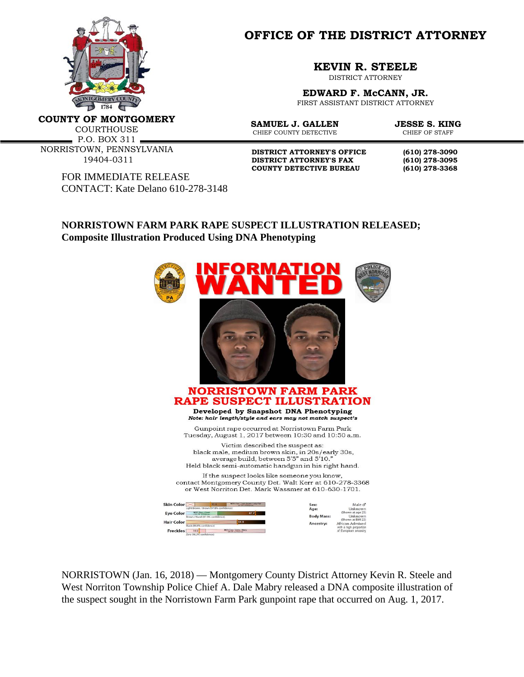

**OFFICE OF THE DISTRICT ATTORNEY**

**KEVIN R. STEELE**

DISTRICT ATTORNEY

**EDWARD F. McCANN, JR.** FIRST ASSISTANT DISTRICT ATTORNEY

**SAMUEL J. GALLEN JESSE S. KING**<br>CHIEF COUNTY DETECTIVE CHIEF OF STAFF

**COUNTY OF MONTGOMERY**

COURTHOUSE

P.O. BOX 311 NORRISTOWN, PENNSYLVANIA 19404-0311

> FOR IMMEDIATE RELEASE CONTACT: Kate Delano 610-278-3148

**DISTRICT ATTORNEY'S OFFICE** (610) 278-3090<br>DISTRICT ATTORNEY'S FAX (610) 278-3095 **DISTRICT ATTORNEY'S FAX (610) 278-3095 COUNTY DETECTIVE BUREAU (610) 278-3368**

CHIEF COUNTY DETECTIVE

## **NORRISTOWN FARM PARK RAPE SUSPECT ILLUSTRATION RELEASED; Composite Illustration Produced Using DNA Phenotyping**



NORRISTOWN (Jan. 16, 2018) — Montgomery County District Attorney Kevin R. Steele and West Norriton Township Police Chief A. Dale Mabry released a DNA composite illustration of the suspect sought in the Norristown Farm Park gunpoint rape that occurred on Aug. 1, 2017.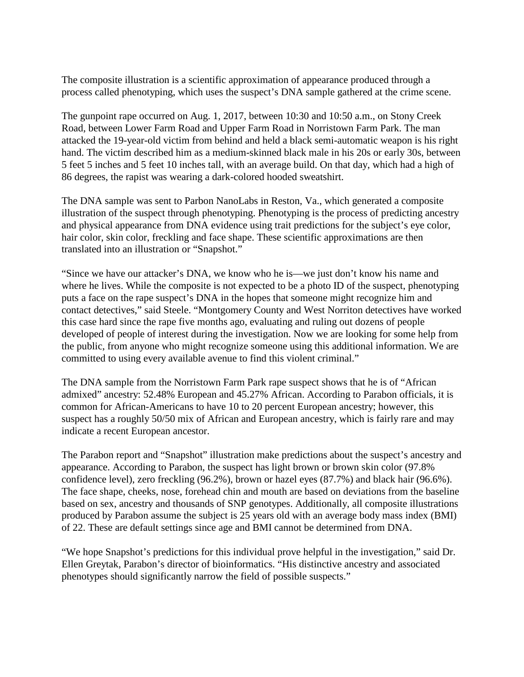The composite illustration is a scientific approximation of appearance produced through a process called phenotyping, which uses the suspect's DNA sample gathered at the crime scene.

The gunpoint rape occurred on Aug. 1, 2017, between 10:30 and 10:50 a.m., on Stony Creek Road, between Lower Farm Road and Upper Farm Road in Norristown Farm Park. The man attacked the 19-year-old victim from behind and held a black semi-automatic weapon is his right hand. The victim described him as a medium-skinned black male in his 20s or early 30s, between 5 feet 5 inches and 5 feet 10 inches tall, with an average build. On that day, which had a high of 86 degrees, the rapist was wearing a dark-colored hooded sweatshirt.

The DNA sample was sent to Parbon NanoLabs in Reston, Va., which generated a composite illustration of the suspect through phenotyping. Phenotyping is the process of predicting ancestry and physical appearance from DNA evidence using trait predictions for the subject's eye color, hair color, skin color, freckling and face shape. These scientific approximations are then translated into an illustration or "Snapshot."

"Since we have our attacker's DNA, we know who he is—we just don't know his name and where he lives. While the composite is not expected to be a photo ID of the suspect, phenotyping puts a face on the rape suspect's DNA in the hopes that someone might recognize him and contact detectives," said Steele. "Montgomery County and West Norriton detectives have worked this case hard since the rape five months ago, evaluating and ruling out dozens of people developed of people of interest during the investigation. Now we are looking for some help from the public, from anyone who might recognize someone using this additional information. We are committed to using every available avenue to find this violent criminal."

The DNA sample from the Norristown Farm Park rape suspect shows that he is of "African admixed" ancestry: 52.48% European and 45.27% African. According to Parabon officials, it is common for African-Americans to have 10 to 20 percent European ancestry; however, this suspect has a roughly 50/50 mix of African and European ancestry, which is fairly rare and may indicate a recent European ancestor.

The Parabon report and "Snapshot" illustration make predictions about the suspect's ancestry and appearance. According to Parabon, the suspect has light brown or brown skin color (97.8% confidence level), zero freckling (96.2%), brown or hazel eyes (87.7%) and black hair (96.6%). The face shape, cheeks, nose, forehead chin and mouth are based on deviations from the baseline based on sex, ancestry and thousands of SNP genotypes. Additionally, all composite illustrations produced by Parabon assume the subject is 25 years old with an average body mass index (BMI) of 22. These are default settings since age and BMI cannot be determined from DNA.

"We hope Snapshot's predictions for this individual prove helpful in the investigation," said Dr. Ellen Greytak, Parabon's director of bioinformatics. "His distinctive ancestry and associated phenotypes should significantly narrow the field of possible suspects."